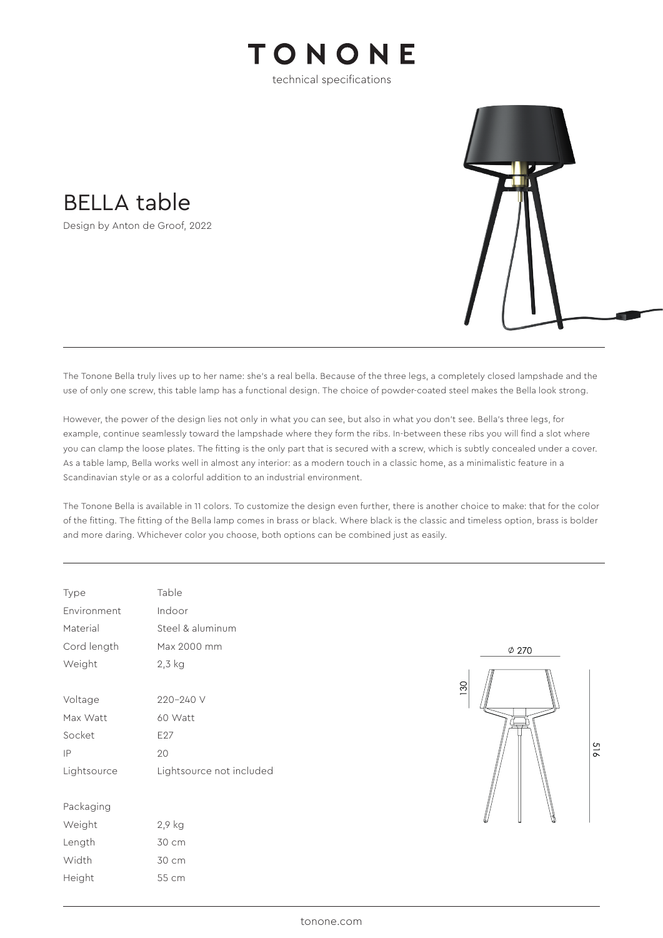## TONONE

technical specifications

BELLA table

Design by Anton de Groof, 2022



The Tonone Bella truly lives up to her name: she's a real bella. Because of the three legs, a completely closed lampshade and the use of only one screw, this table lamp has a functional design. The choice of powder-coated steel makes the Bella look strong.

However, the power of the design lies not only in what you can see, but also in what you don't see. Bella's three legs, for example, continue seamlessly toward the lampshade where they form the ribs. In-between these ribs you will find a slot where you can clamp the loose plates. The fitting is the only part that is secured with a screw, which is subtly concealed under a cover. As a table lamp, Bella works well in almost any interior: as a modern touch in a classic home, as a minimalistic feature in a Scandinavian style or as a colorful addition to an industrial environment.

The Tonone Bella is available in 11 colors. To customize the design even further, there is another choice to make: that for the color of the fitting. The fitting of the Bella lamp comes in brass or black. Where black is the classic and timeless option, brass is bolder and more daring. Whichever color you choose, both options can be combined just as easily.

| Type        | Table                    |  |  |
|-------------|--------------------------|--|--|
| Environment | Indoor                   |  |  |
| Material    | Steel & aluminum         |  |  |
| Cord length | Max 2000 mm              |  |  |
| Weight      | 2,3 kg                   |  |  |
|             |                          |  |  |
| Voltage     | 220-240 V                |  |  |
| Max Watt    | 60 Watt                  |  |  |
| Socket      | E <sub>27</sub>          |  |  |
| IP          | 20                       |  |  |
| Lightsource | Lightsource not included |  |  |
|             |                          |  |  |
| Packaging   |                          |  |  |
| Weight      | 2,9 kg                   |  |  |
| Length      | 30 cm                    |  |  |
| Width       | 30 cm                    |  |  |
| Height      | 55 cm                    |  |  |